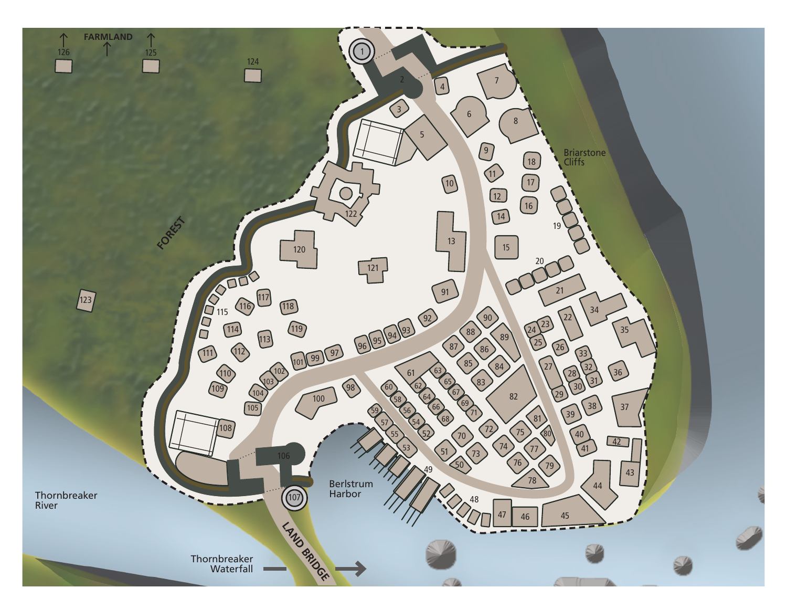